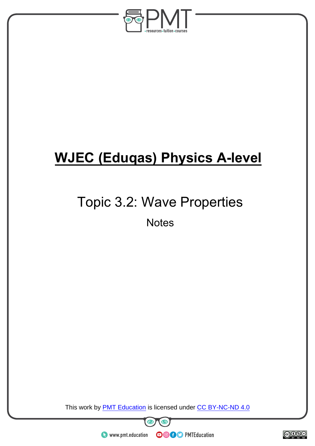

## **WJEC (Eduqas) Physics A-level**

# Topic 3.2: Wave Properties

**Notes** 

This work by **PMT Education** is licensed under CC BY-NC-ND 4.0

O

**OOOO** PMTEducation



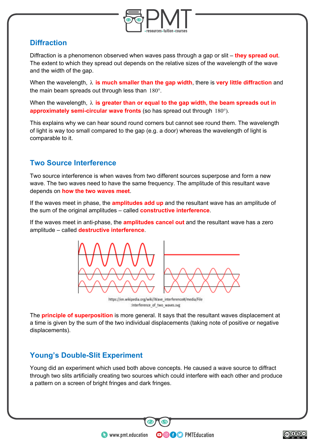

#### **Diffraction**

Diffraction is a phenomenon observed when waves pass through a gap or slit – **they spread out**. The extent to which they spread out depends on the relative sizes of the wavelength of the wave and the width of the gap.

When the wavelength, λ **is much smaller than the gap width**, there is **very little diffraction** and the main beam spreads out through less than  $180^{\circ}$ .

When the wavelength, λ **is greater than or equal to the gap width, the beam spreads out in approximately semi-circular wave fronts** (so has spread out through 180°).

This explains why we can hear sound round corners but cannot see round them. The wavelength of light is way too small compared to the gap (e.g. a door) whereas the wavelength of light is comparable to it.

### **Two Source Interference**

Two source interference is when waves from two different sources superpose and form a new wave. The two waves need to have the same frequency. The amplitude of this resultant wave depends on **how the two waves meet**.

If the waves meet in phase, the **amplitudes add up** and the resultant wave has an amplitude of the sum of the original amplitudes – called **constructive interference**.

If the waves meet in anti-phase, the **amplitudes cancel out** and the resultant wave has a zero amplitude – called **destructive interference**.



:Interference of two waves.svg

The **principle of superposition** is more general. It says that the resultant waves displacement at a time is given by the sum of the two individual displacements (taking note of positive or negative displacements).

### **Young's Double-Slit Experiment**

Young did an experiment which used both above concepts. He caused a wave source to diffract through two slits artificially creating two sources which could interfere with each other and produce a pattern on a screen of bright fringes and dark fringes.

**OOOO** PMTEducation

 $\bullet$  www.pmt.education

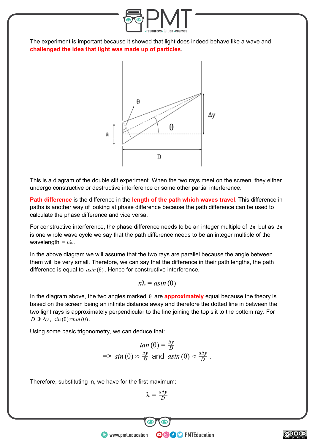

The experiment is important because it showed that light does indeed behave like a wave and **challenged the idea that light was made up of particles**.



This is a diagram of the double slit experiment. When the two rays meet on the screen, they either undergo constructive or destructive interference or some other partial interference.

**Path difference** is the difference in the **length of the path which waves travel**. This difference in paths is another way of looking at phase difference because the path difference can be used to calculate the phase difference and vice versa.

For constructive interference, the phase difference needs to be an integer multiple of  $2\pi$  but as  $2\pi$ is one whole wave cycle we say that the path difference needs to be an integer multiple of the wavelength  $= n\lambda$ .

In the above diagram we will assume that the two rays are parallel because the angle between them will be very small. Therefore, we can say that the difference in their path lengths, the path difference is equal to  $asin(\theta)$ . Hence for constructive interference,

 $n\lambda = a\sin(\theta)$ 

In the diagram above, the two angles marked  $\theta$  are **approximately** equal because the theory is based on the screen being an infinite distance away and therefore the dotted line in between the two light rays is approximately perpendicular to the line joining the top slit to the bottom ray. For  $D \gg \Delta y$ ,  $sin(\theta) \approx tan(\theta)$ .

Using some basic trigonometry, we can deduce that:

$$
tan (\theta) = \frac{\Delta y}{D}
$$
  
=> sin (\theta) \approx \frac{\Delta y}{D} and sin (\theta) \approx \frac{a\Delta y}{D}.

Therefore, substituting in, we have for the first maximum:

$$
\lambda = \frac{a\Delta y}{D}
$$

**OOOO** PMTEducation

BY NC ND  $\bigcirc$